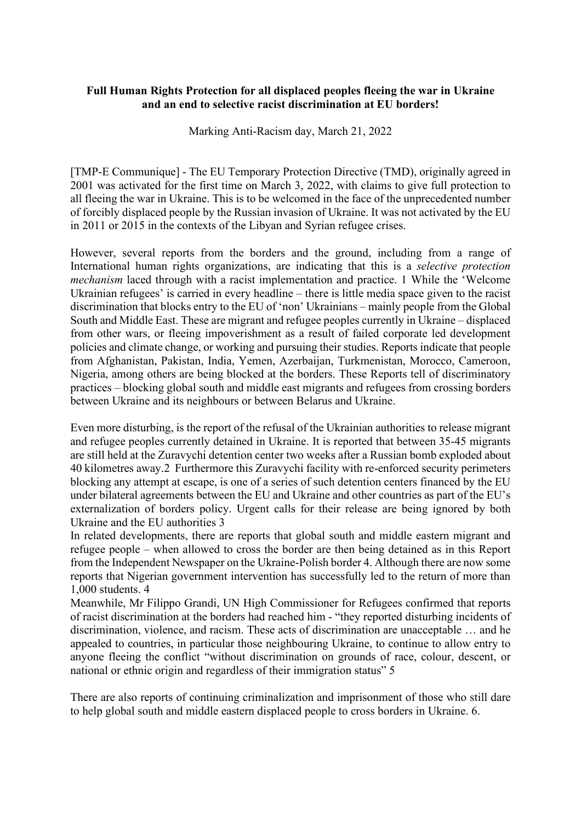## **Full Human Rights Protection for all displaced peoples fleeing the war in Ukraine and an end to selective racist discrimination at EU borders!**

Marking Anti-Racism day, March 21, 2022

[TMP-E Communique] - The EU Temporary Protection Directive (TMD), originally agreed in 2001 was activated for the first time on March 3, 2022, with claims to give full protection to all fleeing the war in Ukraine. This is to be welcomed in the face of the unprecedented number of forcibly displaced people by the Russian invasion of Ukraine. It was not activated by the EU in 2011 or 2015 in the contexts of the Libyan and Syrian refugee crises.

However, several reports from the borders and the ground, including from a range of International human rights organizations, are indicating that this is a *selective protection mechanism* laced through with a racist implementation and practice. 1 While the 'Welcome Ukrainian refugees' is carried in every headline – there is little media space given to the racist discrimination that blocks entry to the EU of 'non' Ukrainians – mainly people from the Global South and Middle East. These are migrant and refugee peoples currently in Ukraine – displaced from other wars, or fleeing impoverishment as a result of failed corporate led development policies and climate change, or working and pursuing their studies. Reports indicate that people from Afghanistan, Pakistan, India, Yemen, Azerbaijan, Turkmenistan, Morocco, Cameroon, Nigeria, among others are being blocked at the borders. These Reports tell of discriminatory practices – blocking global south and middle east migrants and refugees from crossing borders between Ukraine and its neighbours or between Belarus and Ukraine.

Even more disturbing, is the report of the refusal of the Ukrainian authorities to release migrant and refugee peoples currently detained in Ukraine. It is reported that between 35-45 migrants are still held at the Zuravychi detention center two weeks after a Russian bomb exploded about 40 kilometres away.2 Furthermore this Zuravychi facility with re-enforced security perimeters blocking any attempt at escape, is one of a series of such detention centers financed by the EU under bilateral agreements between the EU and Ukraine and other countries as part of the EU's externalization of borders policy. Urgent calls for their release are being ignored by both Ukraine and the EU authorities 3

In related developments, there are reports that global south and middle eastern migrant and refugee people – when allowed to cross the border are then being detained as in this Report from the Independent Newspaper on the Ukraine-Polish border 4. Although there are now some reports that Nigerian government intervention has successfully led to the return of more than 1,000 students. 4

Meanwhile, Mr Filippo Grandi, UN High Commissioner for Refugees confirmed that reports of racist discrimination at the borders had reached him - "they reported disturbing incidents of discrimination, violence, and racism. These acts of discrimination are unacceptable … and he appealed to countries, in particular those neighbouring Ukraine, to continue to allow entry to anyone fleeing the conflict "without discrimination on grounds of race, colour, descent, or national or ethnic origin and regardless of their immigration status" 5

There are also reports of continuing criminalization and imprisonment of those who still dare to help global south and middle eastern displaced people to cross borders in Ukraine. 6.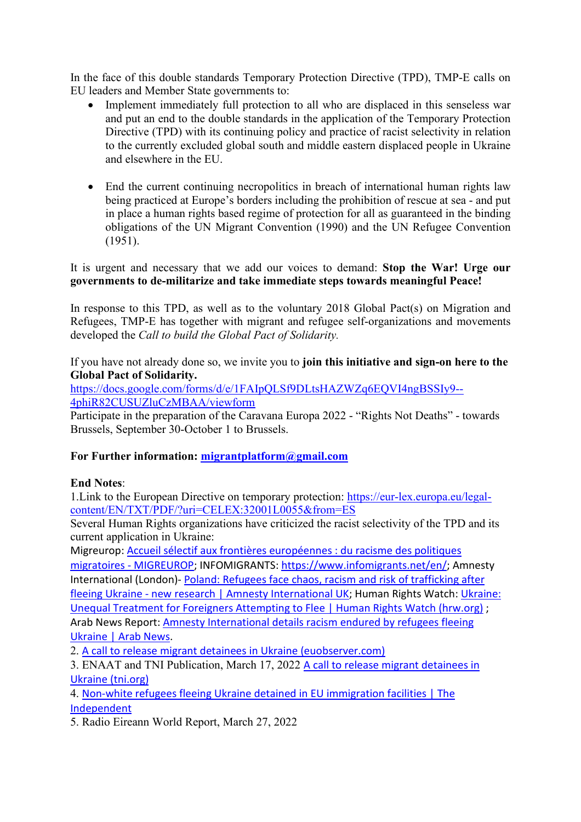In the face of this double standards Temporary Protection Directive (TPD), TMP-E calls on EU leaders and Member State governments to:

- Implement immediately full protection to all who are displaced in this senseless war and put an end to the double standards in the application of the Temporary Protection Directive (TPD) with its continuing policy and practice of racist selectivity in relation to the currently excluded global south and middle eastern displaced people in Ukraine and elsewhere in the EU.
- End the current continuing necropolitics in breach of international human rights law being practiced at Europe's borders including the prohibition of rescue at sea - and put in place a human rights based regime of protection for all as guaranteed in the binding obligations of the UN Migrant Convention (1990) and the UN Refugee Convention (1951).

It is urgent and necessary that we add our voices to demand: **Stop the War! Urge our governments to de-militarize and take immediate steps towards meaningful Peace!**

In response to this TPD, as well as to the voluntary 2018 Global Pact(s) on Migration and Refugees, TMP-E has together with migrant and refugee self-organizations and movements developed the *Call to build the Global Pact of Solidarity.* 

If you have not already done so, we invite you to **join this initiative and sign-on here to the Global Pact of Solidarity.**

[https://docs.google.com/forms/d/e/1FAIpQLSf9DLtsHAZWZq6EQVI4ngBSSIy9--](https://docs.google.com/forms/d/e/1FAIpQLSf9DLtsHAZWZq6EQVI4ngBSSIy9--4phiR82CUSUZluCzMBAA/viewform) [4phiR82CUSUZluCzMBAA/viewform](https://docs.google.com/forms/d/e/1FAIpQLSf9DLtsHAZWZq6EQVI4ngBSSIy9--4phiR82CUSUZluCzMBAA/viewform)

Participate in the preparation of the Caravana Europa 2022 - "Rights Not Deaths" - towards Brussels, September 30-October 1 to Brussels.

## **For Further information: [migrantplatform@gmail.com](mailto:migrantplatform@gmail.com)**

## **End Notes**:

1.Link to the European Directive on temporary protection: [https://eur-lex.europa.eu/legal](https://eur-lex.europa.eu/legal-content/EN/TXT/PDF/?uri=CELEX:32001L0055&from=ES)[content/EN/TXT/PDF/?uri=CELEX:32001L0055&from=ES](https://eur-lex.europa.eu/legal-content/EN/TXT/PDF/?uri=CELEX:32001L0055&from=ES)

Several Human Rights organizations have criticized the racist selectivity of the TPD and its current application in Ukraine:

Migreurop: [Accueil sélectif aux frontières européennes : du racisme des politiques](http://migreurop.org/article3095.html?lang_article=fr;%20INFOMIGRANTS:%20https://www.infomigrants.net/en/)  migratoires - [MIGREUROP;](http://migreurop.org/article3095.html?lang_article=fr;%20INFOMIGRANTS:%20https://www.infomigrants.net/en/) INFOMIGRANTS: [https://www.infomigrants.net/en/;](https://www.infomigrants.net/en/) Amnesty International (London)- Poland: Refugees face chaos, racism and risk of trafficking after fleeing Ukraine - [new research | Amnesty International UK;](https://www.amnesty.org.uk/press-releases/poland-refugees-face-chaos-racism-and-risk-trafficking-after-fleeing-ukraine-new) Human Rights Watch: [Ukraine:](https://www.hrw.org/news/2022/03/04/ukraine-unequal-treatment-foreigners-attempting-flee)  [Unequal Treatment for Foreigners Attempting to Flee | Human Rights Watch \(hrw.org\)](https://www.hrw.org/news/2022/03/04/ukraine-unequal-treatment-foreigners-attempting-flee) ; Arab News Report: [Amnesty International details racism endured by refugees fleeing](https://www.arabnews.com/node/2048831/world%202)  [Ukraine | Arab News.](https://www.arabnews.com/node/2048831/world%202)

2. [A call to release migrant detainees in Ukraine \(euobserver.com\)](https://euobserver.com/opinion/154556?utm_source=euobs&utm_medium=email)

3. ENAAT and TNI Publication, March 17, 2022 A call to release migrant detainees in [Ukraine \(tni.org\)](https://www.tni.org/en/publication/fanning%20the-flames%20See%20also:%20https:/www.tni.org/en/outsourcingoppression)

4. [Non-white refugees fleeing Ukraine detained in EU immigration facilities | The](https://www.independent.co.uk/news/world/europe/ukraine-refugees-detention-international-students-b2041310.html)  [Independent](https://www.independent.co.uk/news/world/europe/ukraine-refugees-detention-international-students-b2041310.html)

5. Radio Eireann World Report, March 27, 2022